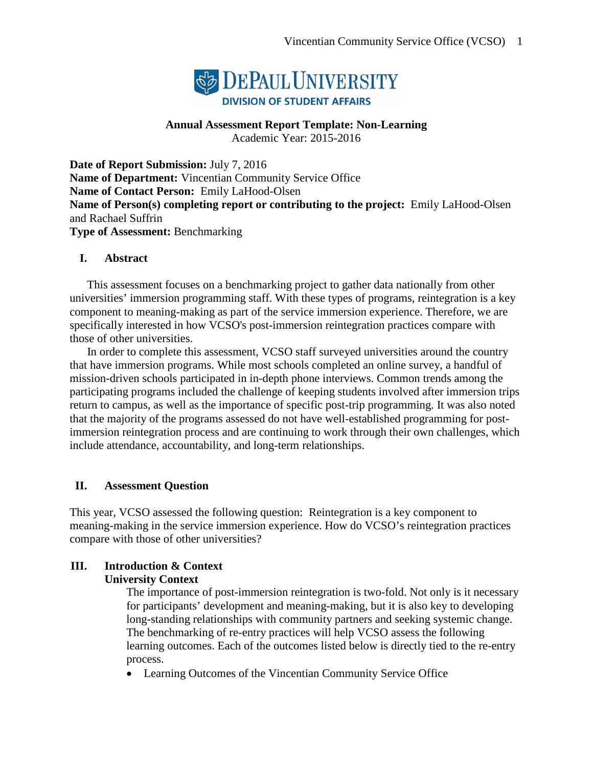

# **Annual Assessment Report Template: Non-Learning**

Academic Year: 2015-2016

**Date of Report Submission:** July 7, 2016 **Name of Department:** Vincentian Community Service Office **Name of Contact Person:** Emily LaHood-Olsen **Name of Person(s) completing report or contributing to the project:** Emily LaHood-Olsen and Rachael Suffrin **Type of Assessment:** Benchmarking

## **I. Abstract**

This assessment focuses on a benchmarking project to gather data nationally from other universities' immersion programming staff. With these types of programs, reintegration is a key component to meaning-making as part of the service immersion experience. Therefore, we are specifically interested in how VCSO's post-immersion reintegration practices compare with those of other universities.

In order to complete this assessment, VCSO staff surveyed universities around the country that have immersion programs. While most schools completed an online survey, a handful of mission-driven schools participated in in-depth phone interviews. Common trends among the participating programs included the challenge of keeping students involved after immersion trips return to campus, as well as the importance of specific post-trip programming. It was also noted that the majority of the programs assessed do not have well-established programming for postimmersion reintegration process and are continuing to work through their own challenges, which include attendance, accountability, and long-term relationships.

## **II. Assessment Question**

This year, VCSO assessed the following question: Reintegration is a key component to meaning-making in the service immersion experience. How do VCSO's reintegration practices compare with those of other universities?

# **III. Introduction & Context**

### **University Context**

The importance of post-immersion reintegration is two-fold. Not only is it necessary for participants' development and meaning-making, but it is also key to developing long-standing relationships with community partners and seeking systemic change. The benchmarking of re-entry practices will help VCSO assess the following learning outcomes. Each of the outcomes listed below is directly tied to the re-entry process.

• Learning Outcomes of the Vincentian Community Service Office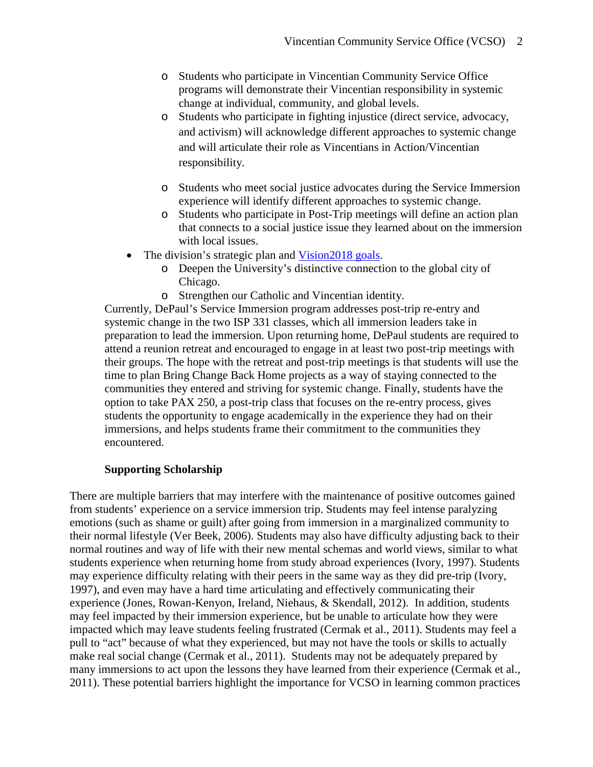- o Students who participate in Vincentian Community Service Office programs will demonstrate their Vincentian responsibility in systemic change at individual, community, and global levels.
- o Students who participate in fighting injustice (direct service, advocacy, and activism) will acknowledge different approaches to systemic change and will articulate their role as Vincentians in Action/Vincentian responsibility.
- o Students who meet social justice advocates during the Service Immersion experience will identify different approaches to systemic change.
- o Students who participate in Post-Trip meetings will define an action plan that connects to a social justice issue they learned about on the immersion with local issues.
- The division's strategic plan and Vision 2018 goals.
	- o Deepen the University's distinctive connection to the global city of Chicago.
	- o Strengthen our Catholic and Vincentian identity.

Currently, DePaul's Service Immersion program addresses post-trip re-entry and systemic change in the two ISP 331 classes, which all immersion leaders take in preparation to lead the immersion. Upon returning home, DePaul students are required to attend a reunion retreat and encouraged to engage in at least two post-trip meetings with their groups. The hope with the retreat and post-trip meetings is that students will use the time to plan Bring Change Back Home projects as a way of staying connected to the communities they entered and striving for systemic change. Finally, students have the option to take PAX 250, a post-trip class that focuses on the re-entry process, gives students the opportunity to engage academically in the experience they had on their immersions, and helps students frame their commitment to the communities they encountered.

### **Supporting Scholarship**

There are multiple barriers that may interfere with the maintenance of positive outcomes gained from students' experience on a service immersion trip. Students may feel intense paralyzing emotions (such as shame or guilt) after going from immersion in a marginalized community to their normal lifestyle (Ver Beek, 2006). Students may also have difficulty adjusting back to their normal routines and way of life with their new mental schemas and world views, similar to what students experience when returning home from study abroad experiences (Ivory, 1997). Students may experience difficulty relating with their peers in the same way as they did pre-trip (Ivory, 1997), and even may have a hard time articulating and effectively communicating their experience (Jones, Rowan-Kenyon, Ireland, Niehaus, & Skendall, 2012). In addition, students may feel impacted by their immersion experience, but be unable to articulate how they were impacted which may leave students feeling frustrated (Cermak et al., 2011). Students may feel a pull to "act" because of what they experienced, but may not have the tools or skills to actually make real social change (Cermak et al., 2011). Students may not be adequately prepared by many immersions to act upon the lessons they have learned from their experience (Cermak et al., 2011). These potential barriers highlight the importance for VCSO in learning common practices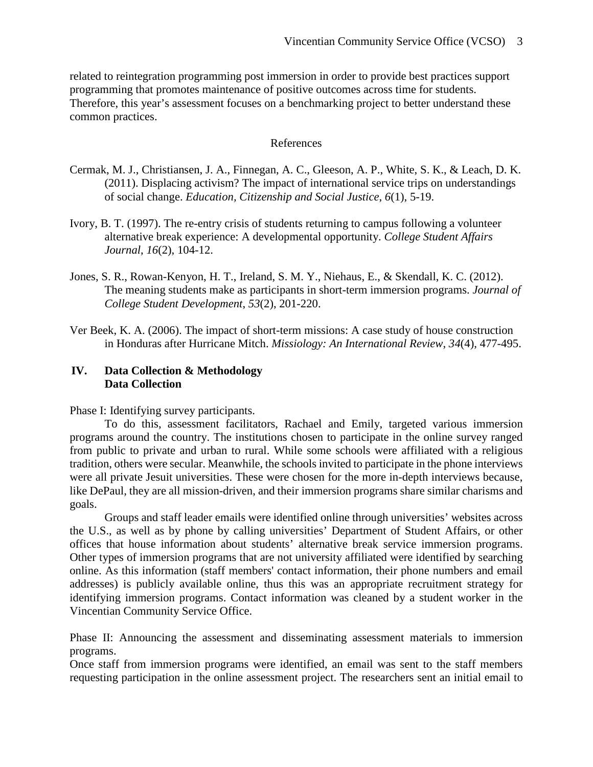related to reintegration programming post immersion in order to provide best practices support programming that promotes maintenance of positive outcomes across time for students. Therefore, this year's assessment focuses on a benchmarking project to better understand these common practices.

#### References

- Cermak, M. J., Christiansen, J. A., Finnegan, A. C., Gleeson, A. P., White, S. K., & Leach, D. K. (2011). Displacing activism? The impact of international service trips on understandings of social change. *Education, Citizenship and Social Justice*, *6*(1), 5-19.
- Ivory, B. T. (1997). The re-entry crisis of students returning to campus following a volunteer alternative break experience: A developmental opportunity. *College Student Affairs Journal*, *16*(2), 104-12.
- Jones, S. R., Rowan-Kenyon, H. T., Ireland, S. M. Y., Niehaus, E., & Skendall, K. C. (2012). The meaning students make as participants in short-term immersion programs. *Journal of College Student Development*, *53*(2), 201-220.
- Ver Beek, K. A. (2006). The impact of short-term missions: A case study of house construction in Honduras after Hurricane Mitch. *Missiology: An International Review*, *34*(4), 477-495.

### **IV. Data Collection & Methodology Data Collection**

Phase I: Identifying survey participants.

To do this, assessment facilitators, Rachael and Emily, targeted various immersion programs around the country. The institutions chosen to participate in the online survey ranged from public to private and urban to rural. While some schools were affiliated with a religious tradition, others were secular. Meanwhile, the schools invited to participate in the phone interviews were all private Jesuit universities. These were chosen for the more in-depth interviews because, like DePaul, they are all mission-driven, and their immersion programs share similar charisms and goals.

Groups and staff leader emails were identified online through universities' websites across the U.S., as well as by phone by calling universities' Department of Student Affairs, or other offices that house information about students' alternative break service immersion programs. Other types of immersion programs that are not university affiliated were identified by searching online. As this information (staff members' contact information, their phone numbers and email addresses) is publicly available online, thus this was an appropriate recruitment strategy for identifying immersion programs. Contact information was cleaned by a student worker in the Vincentian Community Service Office.

Phase II: Announcing the assessment and disseminating assessment materials to immersion programs.

Once staff from immersion programs were identified, an email was sent to the staff members requesting participation in the online assessment project. The researchers sent an initial email to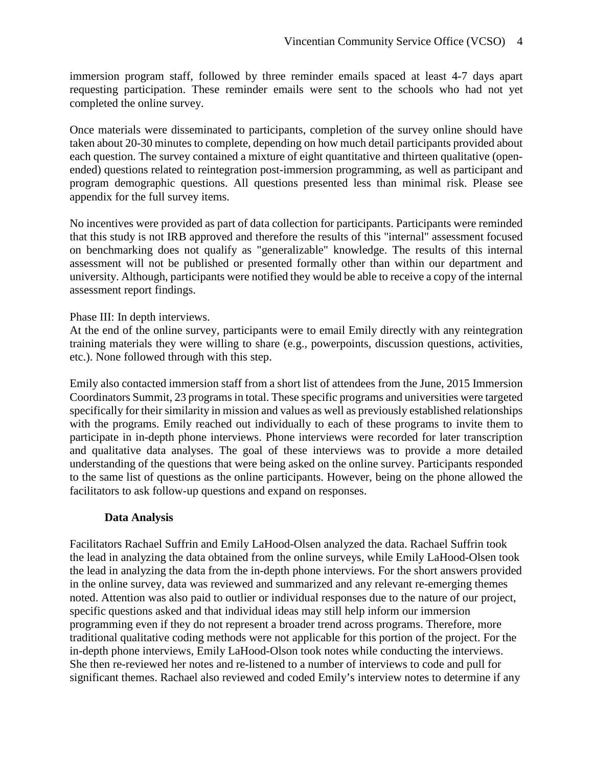immersion program staff, followed by three reminder emails spaced at least 4-7 days apart requesting participation. These reminder emails were sent to the schools who had not yet completed the online survey.

Once materials were disseminated to participants, completion of the survey online should have taken about 20-30 minutes to complete, depending on how much detail participants provided about each question. The survey contained a mixture of eight quantitative and thirteen qualitative (openended) questions related to reintegration post-immersion programming, as well as participant and program demographic questions. All questions presented less than minimal risk. Please see appendix for the full survey items.

No incentives were provided as part of data collection for participants. Participants were reminded that this study is not IRB approved and therefore the results of this "internal" assessment focused on benchmarking does not qualify as "generalizable" knowledge. The results of this internal assessment will not be published or presented formally other than within our department and university. Although, participants were notified they would be able to receive a copy of the internal assessment report findings.

## Phase III: In depth interviews.

At the end of the online survey, participants were to email Emily directly with any reintegration training materials they were willing to share (e.g., powerpoints, discussion questions, activities, etc.). None followed through with this step.

Emily also contacted immersion staff from a short list of attendees from the June, 2015 Immersion Coordinators Summit, 23 programs in total. These specific programs and universities were targeted specifically for their similarity in mission and values as well as previously established relationships with the programs. Emily reached out individually to each of these programs to invite them to participate in in-depth phone interviews. Phone interviews were recorded for later transcription and qualitative data analyses. The goal of these interviews was to provide a more detailed understanding of the questions that were being asked on the online survey. Participants responded to the same list of questions as the online participants. However, being on the phone allowed the facilitators to ask follow-up questions and expand on responses.

### **Data Analysis**

Facilitators Rachael Suffrin and Emily LaHood-Olsen analyzed the data. Rachael Suffrin took the lead in analyzing the data obtained from the online surveys, while Emily LaHood-Olsen took the lead in analyzing the data from the in-depth phone interviews. For the short answers provided in the online survey, data was reviewed and summarized and any relevant re-emerging themes noted. Attention was also paid to outlier or individual responses due to the nature of our project, specific questions asked and that individual ideas may still help inform our immersion programming even if they do not represent a broader trend across programs. Therefore, more traditional qualitative coding methods were not applicable for this portion of the project. For the in-depth phone interviews, Emily LaHood-Olson took notes while conducting the interviews. She then re-reviewed her notes and re-listened to a number of interviews to code and pull for significant themes. Rachael also reviewed and coded Emily's interview notes to determine if any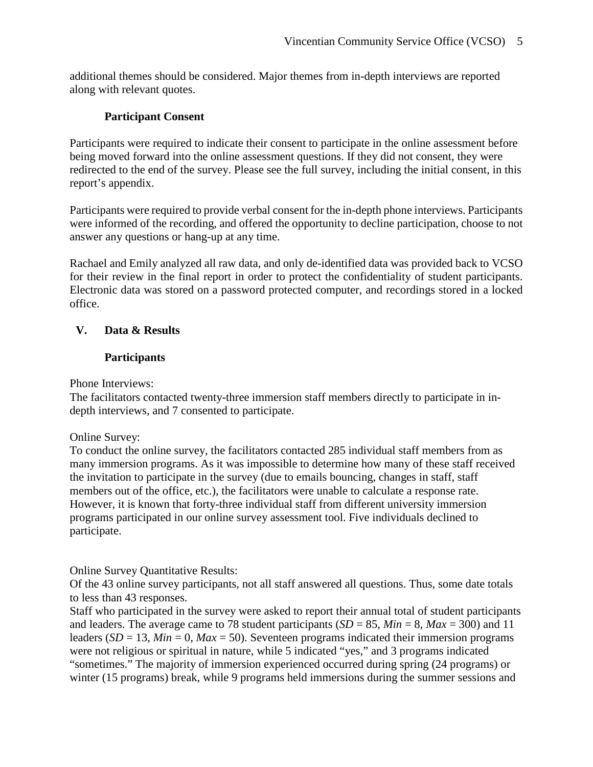additional themes should be considered. Major themes from in-depth interviews are reported along with relevant quotes.

## **Participant Consent**

Participants were required to indicate their consent to participate in the online assessment before being moved forward into the online assessment questions. If they did not consent, they were redirected to the end of the survey. Please see the full survey, including the initial consent, in this report's appendix.

Participants were required to provide verbal consent for the in-depth phone interviews. Participants were informed of the recording, and offered the opportunity to decline participation, choose to not answer any questions or hang-up at any time.

Rachael and Emily analyzed all raw data, and only de-identified data was provided back to VCSO for their review in the final report in order to protect the confidentiality of student participants. Electronic data was stored on a password protected computer, and recordings stored in a locked office.

# **V. Data & Results**

# **Participants**

Phone Interviews:

The facilitators contacted twenty-three immersion staff members directly to participate in indepth interviews, and 7 consented to participate.

Online Survey:

To conduct the online survey, the facilitators contacted 285 individual staff members from as many immersion programs. As it was impossible to determine how many of these staff received the invitation to participate in the survey (due to emails bouncing, changes in staff, staff members out of the office, etc.), the facilitators were unable to calculate a response rate. However, it is known that forty-three individual staff from different university immersion programs participated in our online survey assessment tool. Five individuals declined to participate.

Online Survey Quantitative Results:

Of the 43 online survey participants, not all staff answered all questions. Thus, some date totals to less than 43 responses.

Staff who participated in the survey were asked to report their annual total of student participants and leaders. The average came to 78 student participants  $(SD = 85, Min = 8, Max = 300)$  and 11 leaders (*SD* = 13, *Min* = 0, *Max* = 50). Seventeen programs indicated their immersion programs were not religious or spiritual in nature, while 5 indicated "yes," and 3 programs indicated "sometimes." The majority of immersion experienced occurred during spring (24 programs) or winter (15 programs) break, while 9 programs held immersions during the summer sessions and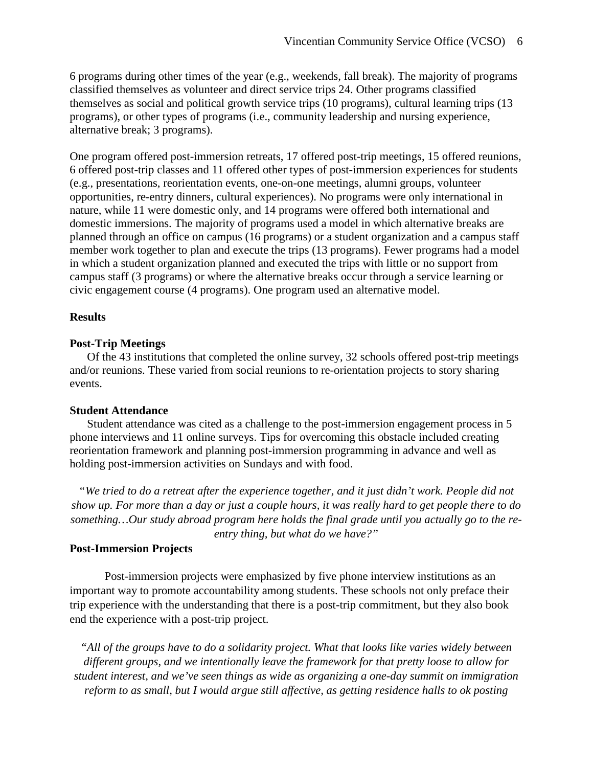6 programs during other times of the year (e.g., weekends, fall break). The majority of programs classified themselves as volunteer and direct service trips 24. Other programs classified themselves as social and political growth service trips (10 programs), cultural learning trips (13 programs), or other types of programs (i.e., community leadership and nursing experience, alternative break; 3 programs).

One program offered post-immersion retreats, 17 offered post-trip meetings, 15 offered reunions, 6 offered post-trip classes and 11 offered other types of post-immersion experiences for students (e.g., presentations, reorientation events, one-on-one meetings, alumni groups, volunteer opportunities, re-entry dinners, cultural experiences). No programs were only international in nature, while 11 were domestic only, and 14 programs were offered both international and domestic immersions. The majority of programs used a model in which alternative breaks are planned through an office on campus (16 programs) or a student organization and a campus staff member work together to plan and execute the trips (13 programs). Fewer programs had a model in which a student organization planned and executed the trips with little or no support from campus staff (3 programs) or where the alternative breaks occur through a service learning or civic engagement course (4 programs). One program used an alternative model.

#### **Results**

#### **Post-Trip Meetings**

Of the 43 institutions that completed the online survey, 32 schools offered post-trip meetings and/or reunions. These varied from social reunions to re-orientation projects to story sharing events.

#### **Student Attendance**

Student attendance was cited as a challenge to the post-immersion engagement process in 5 phone interviews and 11 online surveys. Tips for overcoming this obstacle included creating reorientation framework and planning post-immersion programming in advance and well as holding post-immersion activities on Sundays and with food.

*"We tried to do a retreat after the experience together, and it just didn't work. People did not show up. For more than a day or just a couple hours, it was really hard to get people there to do something…Our study abroad program here holds the final grade until you actually go to the reentry thing, but what do we have?"*

### **Post-Immersion Projects**

Post-immersion projects were emphasized by five phone interview institutions as an important way to promote accountability among students. These schools not only preface their trip experience with the understanding that there is a post-trip commitment, but they also book end the experience with a post-trip project.

*"All of the groups have to do a solidarity project. What that looks like varies widely between different groups, and we intentionally leave the framework for that pretty loose to allow for student interest, and we've seen things as wide as organizing a one-day summit on immigration reform to as small, but I would argue still affective, as getting residence halls to ok posting*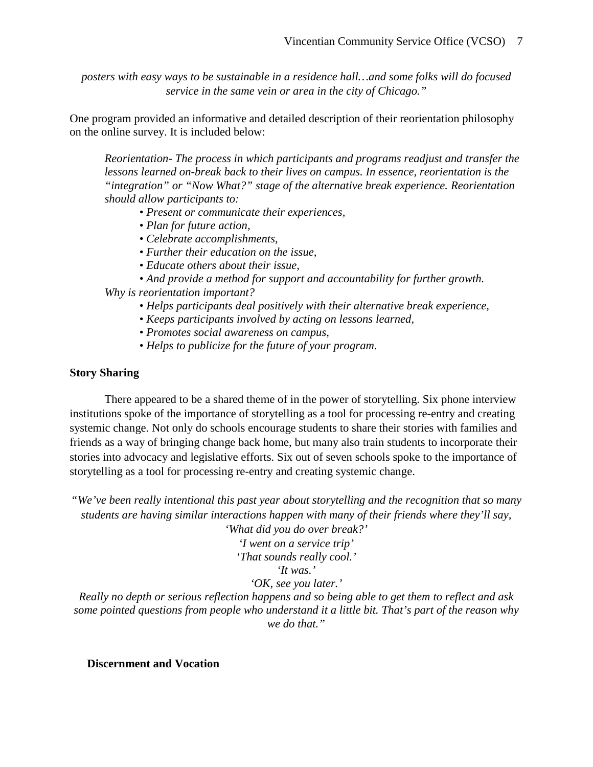*posters with easy ways to be sustainable in a residence hall…and some folks will do focused service in the same vein or area in the city of Chicago."*

One program provided an informative and detailed description of their reorientation philosophy on the online survey. It is included below:

*Reorientation- The process in which participants and programs readjust and transfer the lessons learned on-break back to their lives on campus. In essence, reorientation is the "integration" or "Now What?" stage of the alternative break experience. Reorientation should allow participants to:* 

- *Present or communicate their experiences,*
- *Plan for future action,*
- *Celebrate accomplishments,*
- *Further their education on the issue,*
- *Educate others about their issue,*
- *And provide a method for support and accountability for further growth.*

*Why is reorientation important?* 

- *Helps participants deal positively with their alternative break experience,*
- *Keeps participants involved by acting on lessons learned,*
- *Promotes social awareness on campus,*
- *Helps to publicize for the future of your program.*

### **Story Sharing**

There appeared to be a shared theme of in the power of storytelling. Six phone interview institutions spoke of the importance of storytelling as a tool for processing re-entry and creating systemic change. Not only do schools encourage students to share their stories with families and friends as a way of bringing change back home, but many also train students to incorporate their stories into advocacy and legislative efforts. Six out of seven schools spoke to the importance of storytelling as a tool for processing re-entry and creating systemic change.

*"We've been really intentional this past year about storytelling and the recognition that so many students are having similar interactions happen with many of their friends where they'll say,* 

> *'What did you do over break?' 'I went on a service trip' 'That sounds really cool.' 'It was.' 'OK, see you later.'*

*Really no depth or serious reflection happens and so being able to get them to reflect and ask some pointed questions from people who understand it a little bit. That's part of the reason why we do that."*

**Discernment and Vocation**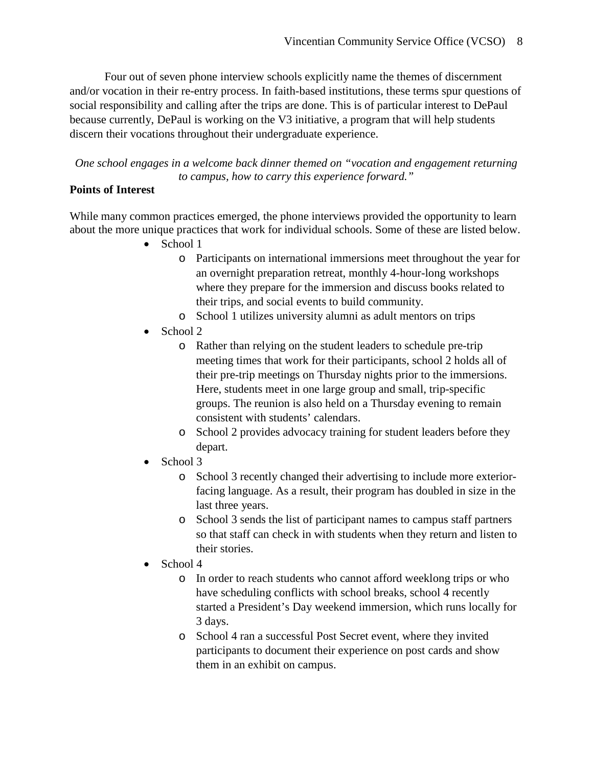Four out of seven phone interview schools explicitly name the themes of discernment and/or vocation in their re-entry process. In faith-based institutions, these terms spur questions of social responsibility and calling after the trips are done. This is of particular interest to DePaul because currently, DePaul is working on the V3 initiative, a program that will help students discern their vocations throughout their undergraduate experience.

*One school engages in a welcome back dinner themed on "vocation and engagement returning to campus, how to carry this experience forward."*

## **Points of Interest**

While many common practices emerged, the phone interviews provided the opportunity to learn about the more unique practices that work for individual schools. Some of these are listed below.

- School 1
	- o Participants on international immersions meet throughout the year for an overnight preparation retreat, monthly 4-hour-long workshops where they prepare for the immersion and discuss books related to their trips, and social events to build community.
	- o School 1 utilizes university alumni as adult mentors on trips
- School 2
	- o Rather than relying on the student leaders to schedule pre-trip meeting times that work for their participants, school 2 holds all of their pre-trip meetings on Thursday nights prior to the immersions. Here, students meet in one large group and small, trip-specific groups. The reunion is also held on a Thursday evening to remain consistent with students' calendars.
	- o School 2 provides advocacy training for student leaders before they depart.
- School 3
	- o School 3 recently changed their advertising to include more exteriorfacing language. As a result, their program has doubled in size in the last three years.
	- o School 3 sends the list of participant names to campus staff partners so that staff can check in with students when they return and listen to their stories.
- School 4
	- o In order to reach students who cannot afford weeklong trips or who have scheduling conflicts with school breaks, school 4 recently started a President's Day weekend immersion, which runs locally for 3 days.
	- o School 4 ran a successful Post Secret event, where they invited participants to document their experience on post cards and show them in an exhibit on campus.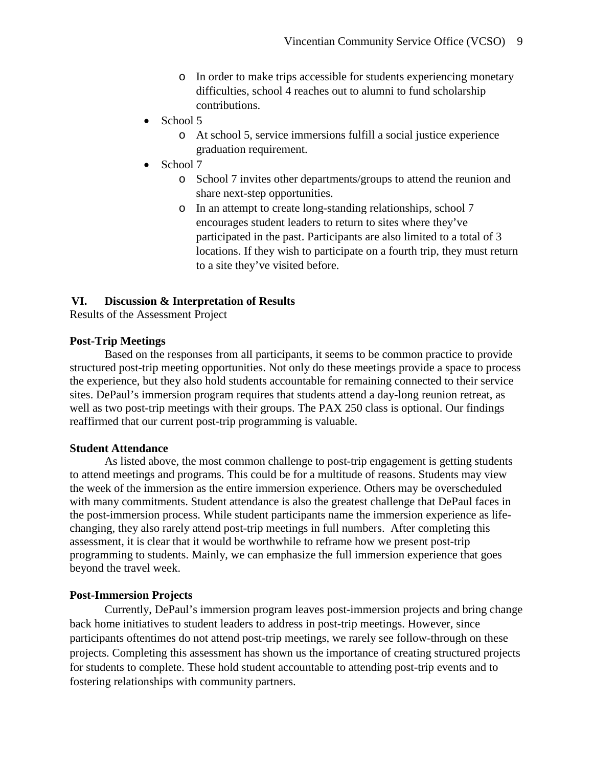- o In order to make trips accessible for students experiencing monetary difficulties, school 4 reaches out to alumni to fund scholarship contributions.
- School 5
	- o At school 5, service immersions fulfill a social justice experience graduation requirement.
- School 7
	- o School 7 invites other departments/groups to attend the reunion and share next-step opportunities.
	- o In an attempt to create long-standing relationships, school 7 encourages student leaders to return to sites where they've participated in the past. Participants are also limited to a total of 3 locations. If they wish to participate on a fourth trip, they must return to a site they've visited before.

## **VI. Discussion & Interpretation of Results**

Results of the Assessment Project

### **Post-Trip Meetings**

Based on the responses from all participants, it seems to be common practice to provide structured post-trip meeting opportunities. Not only do these meetings provide a space to process the experience, but they also hold students accountable for remaining connected to their service sites. DePaul's immersion program requires that students attend a day-long reunion retreat, as well as two post-trip meetings with their groups. The PAX 250 class is optional. Our findings reaffirmed that our current post-trip programming is valuable.

### **Student Attendance**

As listed above, the most common challenge to post-trip engagement is getting students to attend meetings and programs. This could be for a multitude of reasons. Students may view the week of the immersion as the entire immersion experience. Others may be overscheduled with many commitments. Student attendance is also the greatest challenge that DePaul faces in the post-immersion process. While student participants name the immersion experience as lifechanging, they also rarely attend post-trip meetings in full numbers. After completing this assessment, it is clear that it would be worthwhile to reframe how we present post-trip programming to students. Mainly, we can emphasize the full immersion experience that goes beyond the travel week.

### **Post-Immersion Projects**

Currently, DePaul's immersion program leaves post-immersion projects and bring change back home initiatives to student leaders to address in post-trip meetings. However, since participants oftentimes do not attend post-trip meetings, we rarely see follow-through on these projects. Completing this assessment has shown us the importance of creating structured projects for students to complete. These hold student accountable to attending post-trip events and to fostering relationships with community partners.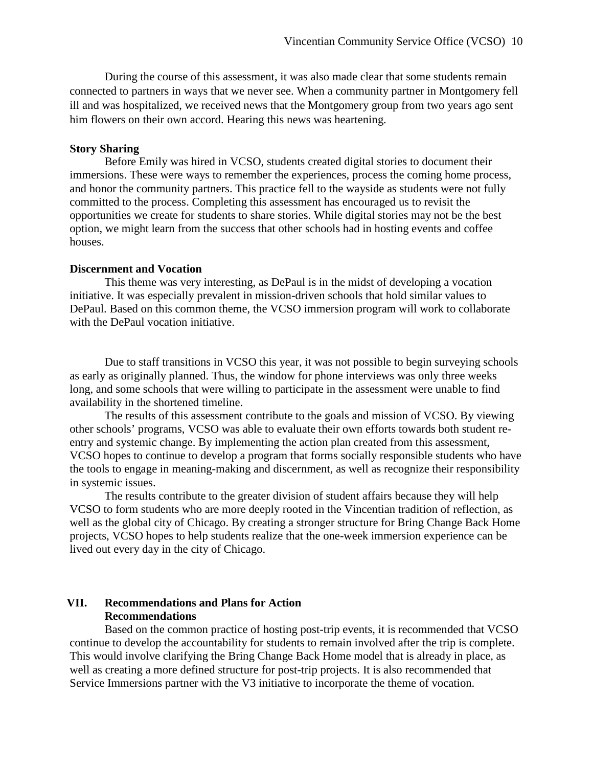During the course of this assessment, it was also made clear that some students remain connected to partners in ways that we never see. When a community partner in Montgomery fell ill and was hospitalized, we received news that the Montgomery group from two years ago sent him flowers on their own accord. Hearing this news was heartening.

#### **Story Sharing**

Before Emily was hired in VCSO, students created digital stories to document their immersions. These were ways to remember the experiences, process the coming home process, and honor the community partners. This practice fell to the wayside as students were not fully committed to the process. Completing this assessment has encouraged us to revisit the opportunities we create for students to share stories. While digital stories may not be the best option, we might learn from the success that other schools had in hosting events and coffee houses.

#### **Discernment and Vocation**

This theme was very interesting, as DePaul is in the midst of developing a vocation initiative. It was especially prevalent in mission-driven schools that hold similar values to DePaul. Based on this common theme, the VCSO immersion program will work to collaborate with the DePaul vocation initiative.

Due to staff transitions in VCSO this year, it was not possible to begin surveying schools as early as originally planned. Thus, the window for phone interviews was only three weeks long, and some schools that were willing to participate in the assessment were unable to find availability in the shortened timeline.

The results of this assessment contribute to the goals and mission of VCSO. By viewing other schools' programs, VCSO was able to evaluate their own efforts towards both student reentry and systemic change. By implementing the action plan created from this assessment, VCSO hopes to continue to develop a program that forms socially responsible students who have the tools to engage in meaning-making and discernment, as well as recognize their responsibility in systemic issues.

The results contribute to the greater division of student affairs because they will help VCSO to form students who are more deeply rooted in the Vincentian tradition of reflection, as well as the global city of Chicago. By creating a stronger structure for Bring Change Back Home projects, VCSO hopes to help students realize that the one-week immersion experience can be lived out every day in the city of Chicago.

#### **VII. Recommendations and Plans for Action Recommendations**

Based on the common practice of hosting post-trip events, it is recommended that VCSO continue to develop the accountability for students to remain involved after the trip is complete. This would involve clarifying the Bring Change Back Home model that is already in place, as well as creating a more defined structure for post-trip projects. It is also recommended that Service Immersions partner with the V3 initiative to incorporate the theme of vocation.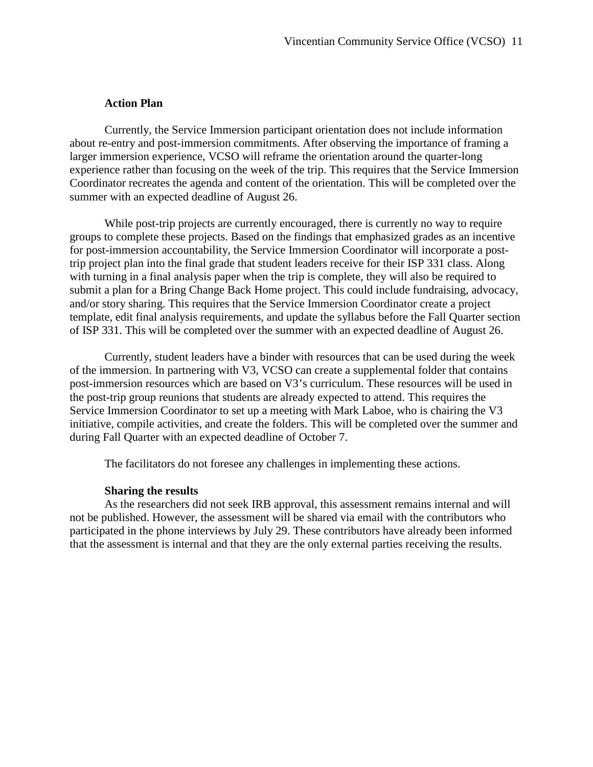#### **Action Plan**

Currently, the Service Immersion participant orientation does not include information about re-entry and post-immersion commitments. After observing the importance of framing a larger immersion experience, VCSO will reframe the orientation around the quarter-long experience rather than focusing on the week of the trip. This requires that the Service Immersion Coordinator recreates the agenda and content of the orientation. This will be completed over the summer with an expected deadline of August 26.

While post-trip projects are currently encouraged, there is currently no way to require groups to complete these projects. Based on the findings that emphasized grades as an incentive for post-immersion accountability, the Service Immersion Coordinator will incorporate a posttrip project plan into the final grade that student leaders receive for their ISP 331 class. Along with turning in a final analysis paper when the trip is complete, they will also be required to submit a plan for a Bring Change Back Home project. This could include fundraising, advocacy, and/or story sharing. This requires that the Service Immersion Coordinator create a project template, edit final analysis requirements, and update the syllabus before the Fall Quarter section of ISP 331. This will be completed over the summer with an expected deadline of August 26.

Currently, student leaders have a binder with resources that can be used during the week of the immersion. In partnering with V3, VCSO can create a supplemental folder that contains post-immersion resources which are based on V3's curriculum. These resources will be used in the post-trip group reunions that students are already expected to attend. This requires the Service Immersion Coordinator to set up a meeting with Mark Laboe, who is chairing the V3 initiative, compile activities, and create the folders. This will be completed over the summer and during Fall Quarter with an expected deadline of October 7.

The facilitators do not foresee any challenges in implementing these actions.

#### **Sharing the results**

As the researchers did not seek IRB approval, this assessment remains internal and will not be published. However, the assessment will be shared via email with the contributors who participated in the phone interviews by July 29. These contributors have already been informed that the assessment is internal and that they are the only external parties receiving the results.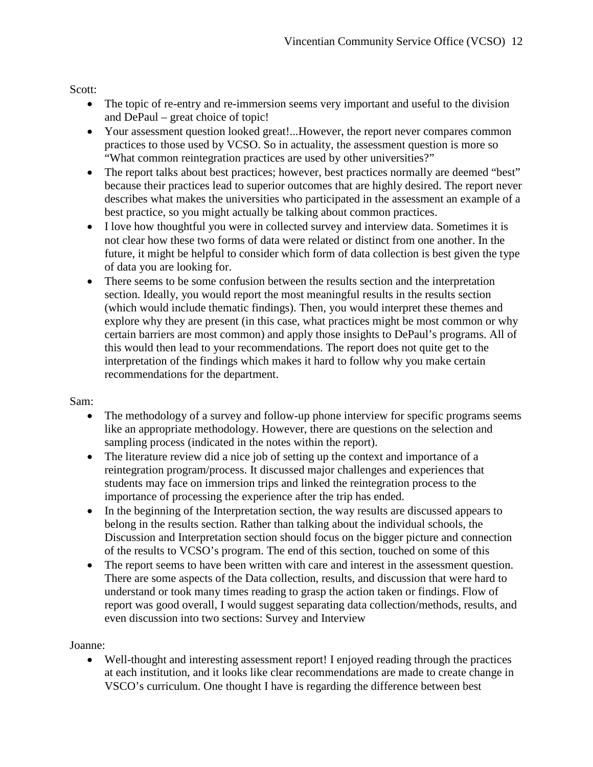Scott:

- The topic of re-entry and re-immersion seems very important and useful to the division and DePaul – great choice of topic!
- Your assessment question looked great!...However, the report never compares common practices to those used by VCSO. So in actuality, the assessment question is more so "What common reintegration practices are used by other universities?"
- The report talks about best practices; however, best practices normally are deemed "best" because their practices lead to superior outcomes that are highly desired. The report never describes what makes the universities who participated in the assessment an example of a best practice, so you might actually be talking about common practices.
- I love how thoughtful you were in collected survey and interview data. Sometimes it is not clear how these two forms of data were related or distinct from one another. In the future, it might be helpful to consider which form of data collection is best given the type of data you are looking for.
- There seems to be some confusion between the results section and the interpretation section. Ideally, you would report the most meaningful results in the results section (which would include thematic findings). Then, you would interpret these themes and explore why they are present (in this case, what practices might be most common or why certain barriers are most common) and apply those insights to DePaul's programs. All of this would then lead to your recommendations. The report does not quite get to the interpretation of the findings which makes it hard to follow why you make certain recommendations for the department.

### Sam:

- The methodology of a survey and follow-up phone interview for specific programs seems like an appropriate methodology. However, there are questions on the selection and sampling process (indicated in the notes within the report).
- The literature review did a nice job of setting up the context and importance of a reintegration program/process. It discussed major challenges and experiences that students may face on immersion trips and linked the reintegration process to the importance of processing the experience after the trip has ended.
- In the beginning of the Interpretation section, the way results are discussed appears to belong in the results section. Rather than talking about the individual schools, the Discussion and Interpretation section should focus on the bigger picture and connection of the results to VCSO's program. The end of this section, touched on some of this
- The report seems to have been written with care and interest in the assessment question. There are some aspects of the Data collection, results, and discussion that were hard to understand or took many times reading to grasp the action taken or findings. Flow of report was good overall, I would suggest separating data collection/methods, results, and even discussion into two sections: Survey and Interview

### Joanne:

• Well-thought and interesting assessment report! I enjoyed reading through the practices at each institution, and it looks like clear recommendations are made to create change in VSCO's curriculum. One thought I have is regarding the difference between best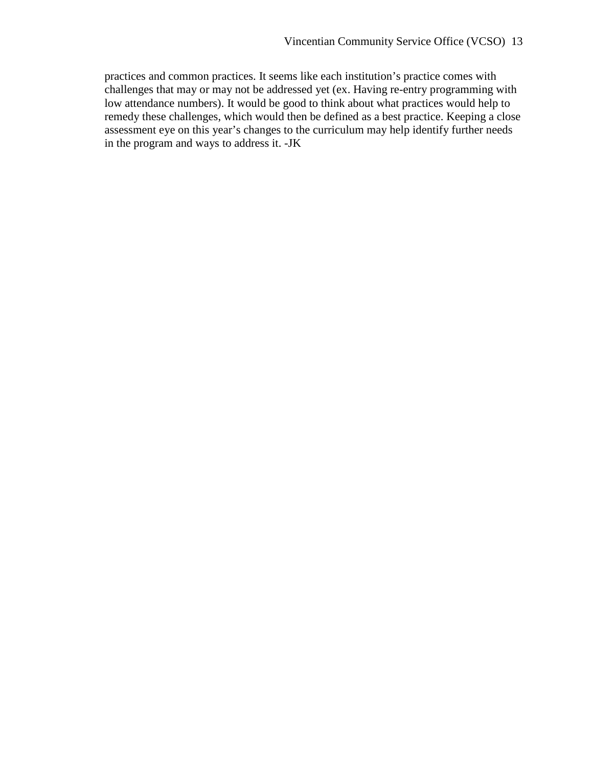practices and common practices. It seems like each institution's practice comes with challenges that may or may not be addressed yet (ex. Having re-entry programming with low attendance numbers). It would be good to think about what practices would help to remedy these challenges, which would then be defined as a best practice. Keeping a close assessment eye on this year's changes to the curriculum may help identify further needs in the program and ways to address it. -JK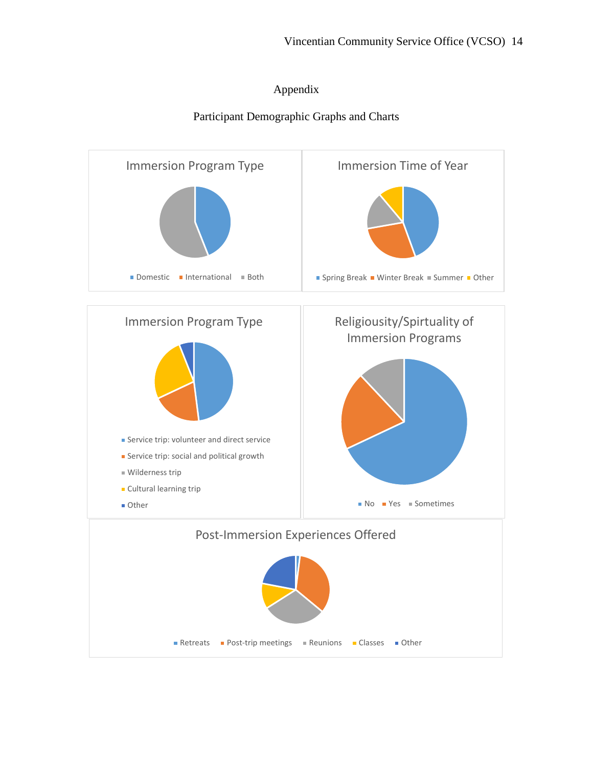## Appendix

# Participant Demographic Graphs and Charts

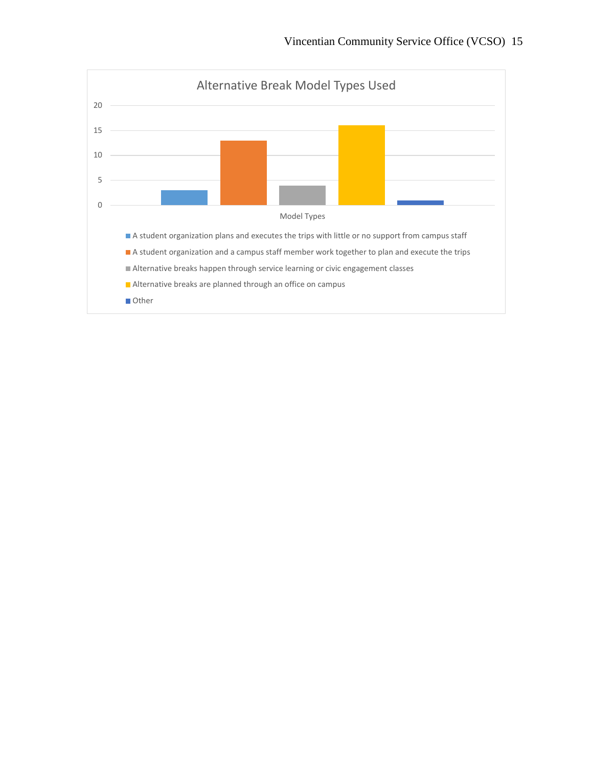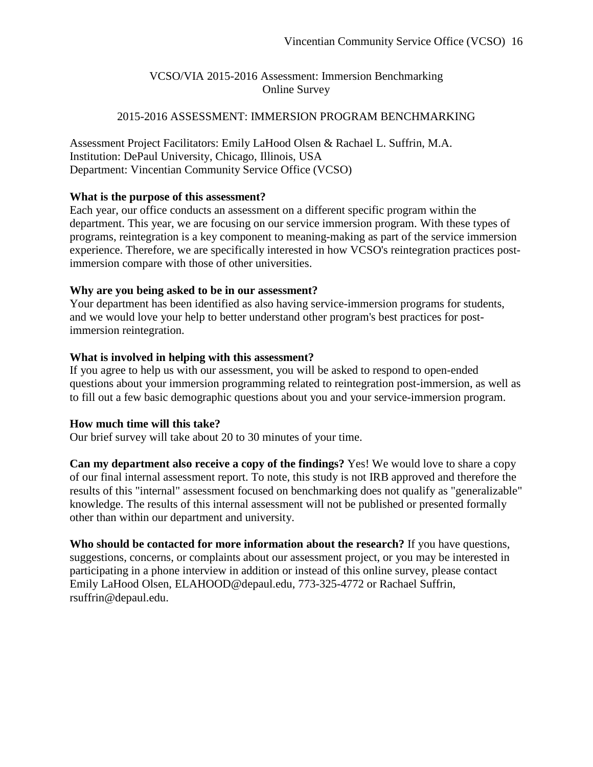# VCSO/VIA 2015-2016 Assessment: Immersion Benchmarking Online Survey

### 2015-2016 ASSESSMENT: IMMERSION PROGRAM BENCHMARKING

Assessment Project Facilitators: Emily LaHood Olsen & Rachael L. Suffrin, M.A. Institution: DePaul University, Chicago, Illinois, USA Department: Vincentian Community Service Office (VCSO)

### **What is the purpose of this assessment?**

Each year, our office conducts an assessment on a different specific program within the department. This year, we are focusing on our service immersion program. With these types of programs, reintegration is a key component to meaning-making as part of the service immersion experience. Therefore, we are specifically interested in how VCSO's reintegration practices postimmersion compare with those of other universities.

### **Why are you being asked to be in our assessment?**

Your department has been identified as also having service-immersion programs for students, and we would love your help to better understand other program's best practices for postimmersion reintegration.

### **What is involved in helping with this assessment?**

If you agree to help us with our assessment, you will be asked to respond to open-ended questions about your immersion programming related to reintegration post-immersion, as well as to fill out a few basic demographic questions about you and your service-immersion program.

## **How much time will this take?**

Our brief survey will take about 20 to 30 minutes of your time.

**Can my department also receive a copy of the findings?** Yes! We would love to share a copy of our final internal assessment report. To note, this study is not IRB approved and therefore the results of this "internal" assessment focused on benchmarking does not qualify as "generalizable" knowledge. The results of this internal assessment will not be published or presented formally other than within our department and university.

**Who should be contacted for more information about the research?** If you have questions, suggestions, concerns, or complaints about our assessment project, or you may be interested in participating in a phone interview in addition or instead of this online survey, please contact Emily LaHood Olsen, ELAHOOD@depaul.edu, 773-325-4772 or Rachael Suffrin, rsuffrin@depaul.edu.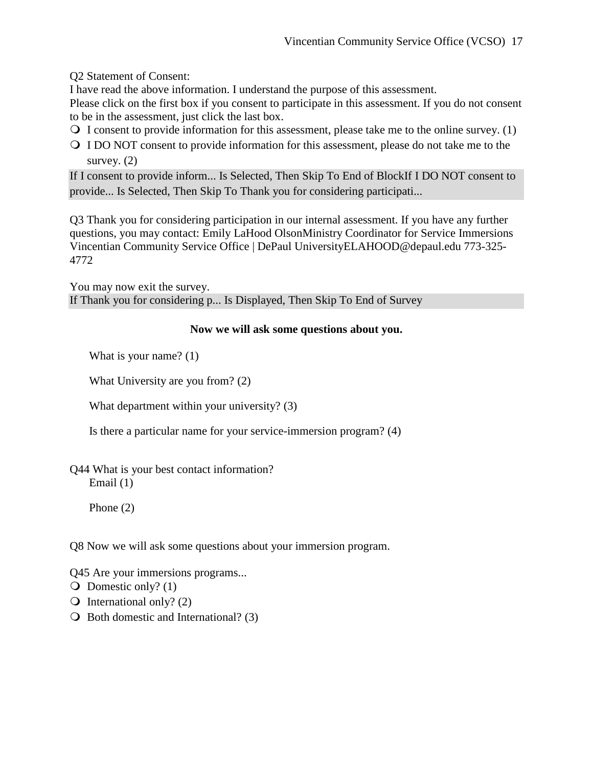Q2 Statement of Consent:

I have read the above information. I understand the purpose of this assessment.

Please click on the first box if you consent to participate in this assessment. If you do not consent to be in the assessment, just click the last box.

- $\overline{Q}$  I consent to provide information for this assessment, please take me to the online survey. (1)
- I DO NOT consent to provide information for this assessment, please do not take me to the survey.  $(2)$

If I consent to provide inform... Is Selected, Then Skip To End of BlockIf I DO NOT consent to provide... Is Selected, Then Skip To Thank you for considering participati...

Q3 Thank you for considering participation in our internal assessment. If you have any further questions, you may contact: Emily LaHood OlsonMinistry Coordinator for Service Immersions Vincentian Community Service Office | DePaul UniversityELAHOOD@depaul.edu 773-325- 4772

You may now exit the survey. If Thank you for considering p... Is Displayed, Then Skip To End of Survey

# **Now we will ask some questions about you.**

What is your name? (1)

What University are you from? (2)

What department within your university? (3)

Is there a particular name for your service-immersion program? (4)

Q44 What is your best contact information? Email (1)

Phone (2)

Q8 Now we will ask some questions about your immersion program.

Q45 Are your immersions programs...

 $\overline{O}$  Domestic only? (1)

- $\bigcirc$  International only? (2)
- $\bigcirc$  Both domestic and International? (3)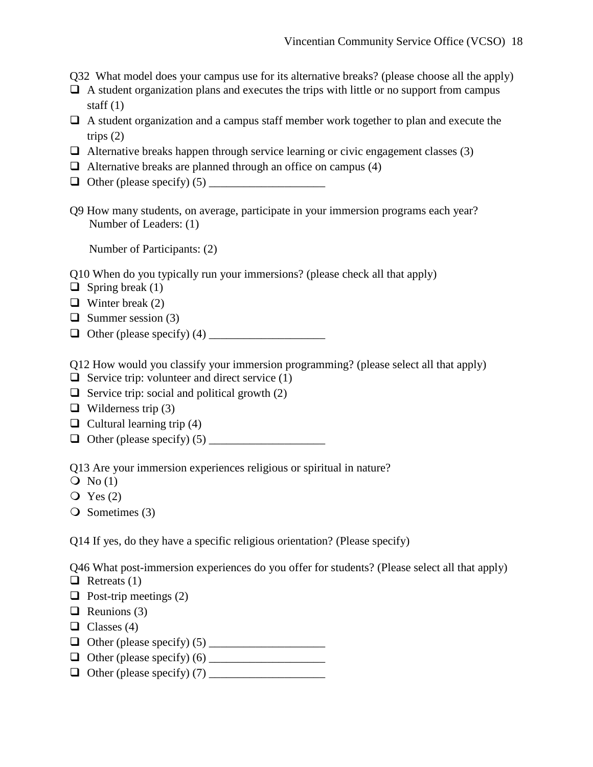Q32 What model does your campus use for its alternative breaks? (please choose all the apply)

- $\Box$  A student organization plans and executes the trips with little or no support from campus staff  $(1)$
- $\Box$  A student organization and a campus staff member work together to plan and execute the trips  $(2)$
- $\Box$  Alternative breaks happen through service learning or civic engagement classes (3)
- $\Box$  Alternative breaks are planned through an office on campus (4)
- $\Box$  Other (please specify) (5)
- Q9 How many students, on average, participate in your immersion programs each year? Number of Leaders: (1)

Number of Participants: (2)

Q10 When do you typically run your immersions? (please check all that apply)

- $\Box$  Spring break (1)
- $\Box$  Winter break (2)
- $\Box$  Summer session (3)
- Other (please specify) (4) \_\_\_\_\_\_\_\_\_\_\_\_\_\_\_\_\_\_\_\_

Q12 How would you classify your immersion programming? (please select all that apply)

- $\Box$  Service trip: volunteer and direct service (1)
- $\Box$  Service trip: social and political growth (2)
- $\Box$  Wilderness trip (3)
- $\Box$  Cultural learning trip (4)
- Other (please specify) (5) \_\_\_\_\_\_\_\_\_\_\_\_\_\_\_\_\_\_\_\_

Q13 Are your immersion experiences religious or spiritual in nature?

- $\overline{Q}$  No (1)
- $\overline{Q}$  Yes (2)

 $\overline{Q}$  Sometimes (3)

Q14 If yes, do they have a specific religious orientation? (Please specify)

Q46 What post-immersion experiences do you offer for students? (Please select all that apply)

 $\Box$  Retreats (1)

- $\Box$  Post-trip meetings (2)
- $\Box$  Reunions (3)
- $\Box$  Classes (4)
- Other (please specify) (5) \_\_\_\_\_\_\_\_\_\_\_\_\_\_\_\_\_\_\_\_
- Other (please specify) (6) \_\_\_\_\_\_\_\_\_\_\_\_\_\_\_\_\_\_\_\_
- Other (please specify) (7) \_\_\_\_\_\_\_\_\_\_\_\_\_\_\_\_\_\_\_\_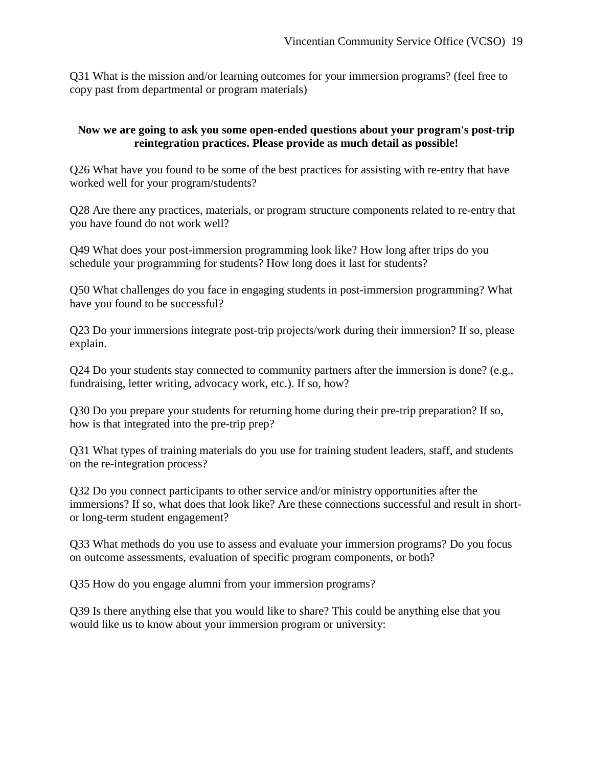Q31 What is the mission and/or learning outcomes for your immersion programs? (feel free to copy past from departmental or program materials)

## **Now we are going to ask you some open-ended questions about your program's post-trip reintegration practices. Please provide as much detail as possible!**

Q26 What have you found to be some of the best practices for assisting with re-entry that have worked well for your program/students?

Q28 Are there any practices, materials, or program structure components related to re-entry that you have found do not work well?

Q49 What does your post-immersion programming look like? How long after trips do you schedule your programming for students? How long does it last for students?

Q50 What challenges do you face in engaging students in post-immersion programming? What have you found to be successful?

Q23 Do your immersions integrate post-trip projects/work during their immersion? If so, please explain.

Q24 Do your students stay connected to community partners after the immersion is done? (e.g., fundraising, letter writing, advocacy work, etc.). If so, how?

Q30 Do you prepare your students for returning home during their pre-trip preparation? If so, how is that integrated into the pre-trip prep?

Q31 What types of training materials do you use for training student leaders, staff, and students on the re-integration process?

Q32 Do you connect participants to other service and/or ministry opportunities after the immersions? If so, what does that look like? Are these connections successful and result in shortor long-term student engagement?

Q33 What methods do you use to assess and evaluate your immersion programs? Do you focus on outcome assessments, evaluation of specific program components, or both?

Q35 How do you engage alumni from your immersion programs?

Q39 Is there anything else that you would like to share? This could be anything else that you would like us to know about your immersion program or university: